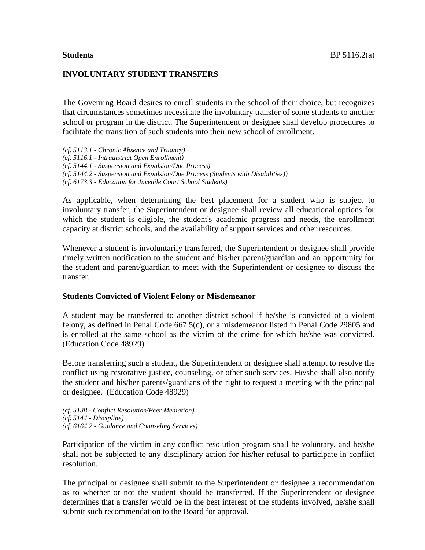## **INVOLUNTARY STUDENT TRANSFERS**

The Governing Board desires to enroll students in the school of their choice, but recognizes that circumstances sometimes necessitate the involuntary transfer of some students to another school or program in the district. The Superintendent or designee shall develop procedures to facilitate the transition of such students into their new school of enrollment.

*(cf. 5113.1 - Chronic Absence and Truancy) (cf. 5116.1 - Intradistrict Open Enrollment) (cf. 5144.1 - Suspension and Expulsion/Due Process) (cf. 5144.2 - Suspension and Expulsion/Due Process (Students with Disabilities)) (cf. 6173.3 - Education for Juvenile Court School Students)*

As applicable, when determining the best placement for a student who is subject to involuntary transfer, the Superintendent or designee shall review all educational options for which the student is eligible, the student's academic progress and needs, the enrollment capacity at district schools, and the availability of support services and other resources.

Whenever a student is involuntarily transferred, the Superintendent or designee shall provide timely written notification to the student and his/her parent/guardian and an opportunity for the student and parent/guardian to meet with the Superintendent or designee to discuss the transfer.

### **Students Convicted of Violent Felony or Misdemeanor**

A student may be transferred to another district school if he/she is convicted of a violent felony, as defined in Penal Code 667.5(c), or a misdemeanor listed in Penal Code 29805 and is enrolled at the same school as the victim of the crime for which he/she was convicted. (Education Code 48929)

Before transferring such a student, the Superintendent or designee shall attempt to resolve the conflict using restorative justice, counseling, or other such services. He/she shall also notify the student and his/her parents/guardians of the right to request a meeting with the principal or designee. (Education Code 48929)

*(cf. 5138 - Conflict Resolution/Peer Mediation) (cf. 5144 - Discipline) (cf. 6164.2 - Guidance and Counseling Services)*

Participation of the victim in any conflict resolution program shall be voluntary, and he/she shall not be subjected to any disciplinary action for his/her refusal to participate in conflict resolution.

The principal or designee shall submit to the Superintendent or designee a recommendation as to whether or not the student should be transferred. If the Superintendent or designee determines that a transfer would be in the best interest of the students involved, he/she shall submit such recommendation to the Board for approval.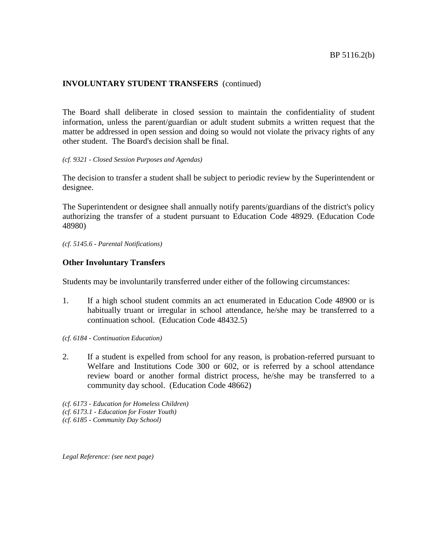# **INVOLUNTARY STUDENT TRANSFERS** (continued)

The Board shall deliberate in closed session to maintain the confidentiality of student information, unless the parent/guardian or adult student submits a written request that the matter be addressed in open session and doing so would not violate the privacy rights of any other student. The Board's decision shall be final.

#### *(cf. 9321 - Closed Session Purposes and Agendas)*

The decision to transfer a student shall be subject to periodic review by the Superintendent or designee.

The Superintendent or designee shall annually notify parents/guardians of the district's policy authorizing the transfer of a student pursuant to Education Code 48929. (Education Code 48980)

*(cf. 5145.6 - Parental Notifications)*

## **Other Involuntary Transfers**

Students may be involuntarily transferred under either of the following circumstances:

- 1. If a high school student commits an act enumerated in Education Code 48900 or is habitually truant or irregular in school attendance, he/she may be transferred to a continuation school. (Education Code 48432.5)
- *(cf. 6184 - Continuation Education)*
- 2. If a student is expelled from school for any reason, is probation-referred pursuant to Welfare and Institutions Code 300 or 602, or is referred by a school attendance review board or another formal district process, he/she may be transferred to a community day school. (Education Code 48662)

*(cf. 6173 - Education for Homeless Children) (cf. 6173.1 - Education for Foster Youth) (cf. 6185 - Community Day School)*

*Legal Reference: (see next page)*